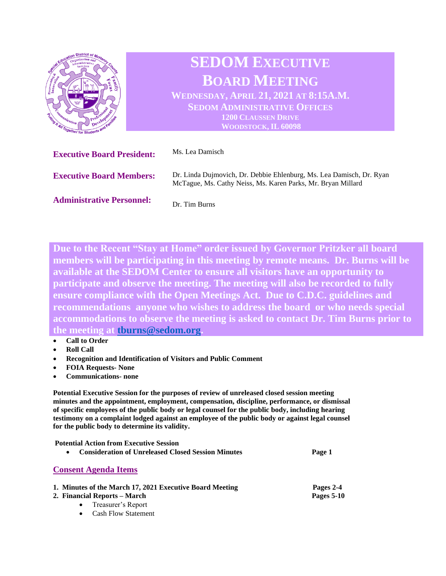

**Due to the Recent "Stay at Home" order issued by Governor Pritzker all board members will be participating in this meeting by remote means. Dr. Burns will be available at the SEDOM Center to ensure all visitors have an opportunity to participate and observe the meeting. The meeting will also be recorded to fully ensure compliance with the Open Meetings Act. Due to C.D.C. guidelines and recommendations anyone who wishes to address the board or who needs special accommodations to observe the meeting is asked to contact Dr. Tim Burns prior to the meeting at [tburns@sedom.org.](mailto:tburns@sedom.org)** 

- **Call to Order**
- **Roll Call**
- **Recognition and Identification of Visitors and Public Comment**
- **FOIA Requests- None**
- **Communications- none**

**Potential Executive Session for the purposes of review of unreleased closed session meeting minutes and the appointment, employment, compensation, discipline, performance, or dismissal of specific employees of the public body or legal counsel for the public body, including hearing testimony on a complaint lodged against an employee of the public body or against legal counsel for the public body to determine its validity.**

**Potential Action from Executive Session**  • **Consideration of Unreleased Closed Session Minutes Page 1 Consent Agenda Items 1. Minutes of the March 17, 2021 Executive Board Meeting Pages 2-4 2. Financial Reports – March Pages 5-10**

- - Treasurer's Report
	- Cash Flow Statement